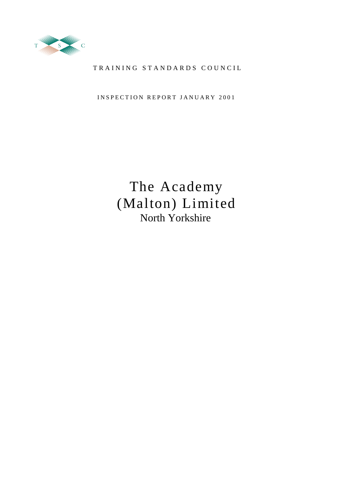

# TRAINING STANDARDS COUNCIL

INSPECTION REPORT JANUARY 2001

# The Academy (Malton) Limited North Yorkshire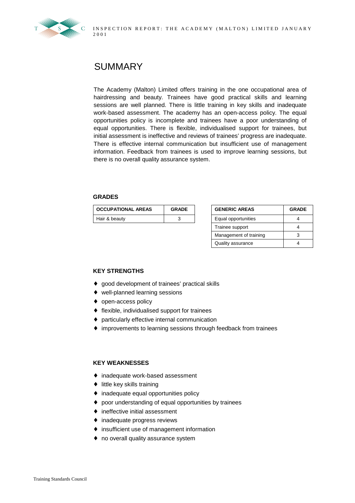

# SUMMARY

The Academy (Malton) Limited offers training in the one occupational area of hairdressing and beauty. Trainees have good practical skills and learning sessions are well planned. There is little training in key skills and inadequate work-based assessment. The academy has an open-access policy. The equal opportunities policy is incomplete and trainees have a poor understanding of equal opportunities. There is flexible, individualised support for trainees, but initial assessment is ineffective and reviews of trainees' progress are inadequate. There is effective internal communication but insufficient use of management information. Feedback from trainees is used to improve learning sessions, but there is no overall quality assurance system.

#### **GRADES**

| <b>OCCUPATIONAL AREAS</b> | <b>GRADE</b> | <b>GENERIC AREAS</b> | <b>GRADE</b> |
|---------------------------|--------------|----------------------|--------------|
| Hair & beauty             |              | Equal opportunities  |              |

| <b>GENERIC AREAS</b>   | <b>GRADE</b> |  |  |
|------------------------|--------------|--|--|
| Equal opportunities    |              |  |  |
| Trainee support        |              |  |  |
| Management of training |              |  |  |
| Quality assurance      |              |  |  |

### **KEY STRENGTHS**

- ♦ good development of trainees' practical skills
- ♦ well-planned learning sessions
- ♦ open-access policy
- ♦ flexible, individualised support for trainees
- ♦ particularly effective internal communication
- ♦ improvements to learning sessions through feedback from trainees

### **KEY WEAKNESSES**

- ♦ inadequate work-based assessment
- $\bullet$  little key skills training
- ♦ inadequate equal opportunities policy
- ♦ poor understanding of equal opportunities by trainees
- $\bullet$  ineffective initial assessment
- ♦ inadequate progress reviews
- ♦ insufficient use of management information
- ♦ no overall quality assurance system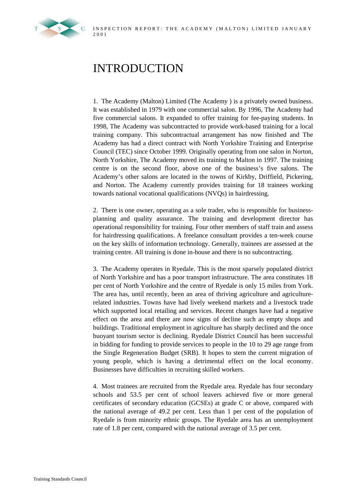

# INTRODUCTION

1. The Academy (Malton) Limited (The Academy ) is a privately owned business. It was established in 1979 with one commercial salon. By 1996, The Academy had five commercial salons. It expanded to offer training for fee-paying students. In 1998, The Academy was subcontracted to provide work-based training for a local training company. This subcontractual arrangement has now finished and The Academy has had a direct contract with North Yorkshire Training and Enterprise Council (TEC) since October 1999. Originally operating from one salon in Norton, North Yorkshire, The Academy moved its training to Malton in 1997. The training centre is on the second floor, above one of the business's five salons. The Academy's other salons are located in the towns of Kirkby, Driffield, Pickering, and Norton. The Academy currently provides training for 18 trainees working towards national vocational qualifications (NVQs) in hairdressing.

2. There is one owner, operating as a sole trader, who is responsible for businessplanning and quality assurance. The training and development director has operational responsibility for training. Four other members of staff train and assess for hairdressing qualifications. A freelance consultant provides a ten-week course on the key skills of information technology. Generally, trainees are assessed at the training centre. All training is done in-house and there is no subcontracting.

3. The Academy operates in Ryedale. This is the most sparsely populated district of North Yorkshire and has a poor transport infrastructure. The area constitutes 18 per cent of North Yorkshire and the centre of Ryedale is only 15 miles from York. The area has, until recently, been an area of thriving agriculture and agriculturerelated industries. Towns have had lively weekend markets and a livestock trade which supported local retailing and services. Recent changes have had a negative effect on the area and there are now signs of decline such as empty shops and buildings. Traditional employment in agriculture has sharply declined and the once buoyant tourism sector is declining. Ryedale District Council has been successful in bidding for funding to provide services to people in the 10 to 29 age range from the Single Regeneration Budget (SRB). It hopes to stem the current migration of young people, which is having a detrimental effect on the local economy. Businesses have difficulties in recruiting skilled workers.

4. Most trainees are recruited from the Ryedale area. Ryedale has four secondary schools and 53.5 per cent of school leavers achieved five or more general certificates of secondary education (GCSEs) at grade C or above, compared with the national average of 49.2 per cent. Less than 1 per cent of the population of Ryedale is from minority ethnic groups. The Ryedale area has an unemployment rate of 1.8 per cent, compared with the national average of 3.5 per cent.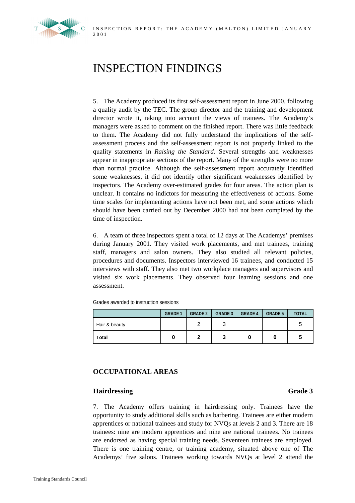

# INSPECTION FINDINGS

5. The Academy produced its first self-assessment report in June 2000, following a quality audit by the TEC. The group director and the training and development director wrote it, taking into account the views of trainees. The Academy's managers were asked to comment on the finished report. There was little feedback to them. The Academy did not fully understand the implications of the selfassessment process and the self-assessment report is not properly linked to the quality statements in *Raising the Standard*. Several strengths and weaknesses appear in inappropriate sections of the report. Many of the strengths were no more than normal practice. Although the self-assessment report accurately identified some weaknesses, it did not identify other significant weaknesses identified by inspectors. The Academy over-estimated grades for four areas. The action plan is unclear. It contains no indictors for measuring the effectiveness of actions. Some time scales for implementing actions have not been met, and some actions which should have been carried out by December 2000 had not been completed by the time of inspection.

6. A team of three inspectors spent a total of 12 days at The Academys' premises during January 2001. They visited work placements, and met trainees, training staff, managers and salon owners. They also studied all relevant policies, procedures and documents. Inspectors interviewed 16 trainees, and conducted 15 interviews with staff. They also met two workplace managers and supervisors and visited six work placements. They observed four learning sessions and one assessment.

Grades awarded to instruction sessions

|               | <b>GRADE 1</b> | <b>GRADE 2</b> | <b>GRADE 3</b> | <b>GRADE 4</b> | <b>GRADE 5</b> | <b>TOTAL</b> |
|---------------|----------------|----------------|----------------|----------------|----------------|--------------|
| Hair & beauty |                |                | ົ              |                |                | ∽            |
| <b>Total</b>  |                |                | 3              |                |                | a            |

# **OCCUPATIONAL AREAS**

# Hairdressing Grade 3

7. The Academy offers training in hairdressing only. Trainees have the opportunity to study additional skills such as barbering. Trainees are either modern apprentices or national trainees and study for NVQs at levels 2 and 3. There are 18 trainees: nine are modern apprentices and nine are national trainees. No trainees are endorsed as having special training needs. Seventeen trainees are employed. There is one training centre, or training academy, situated above one of The Academys' five salons. Trainees working towards NVQs at level 2 attend the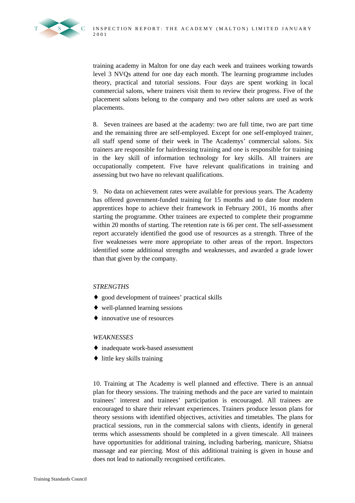

training academy in Malton for one day each week and trainees working towards level 3 NVQs attend for one day each month. The learning programme includes theory, practical and tutorial sessions. Four days are spent working in local commercial salons, where trainers visit them to review their progress. Five of the placement salons belong to the company and two other salons are used as work placements.

8. Seven trainees are based at the academy: two are full time, two are part time and the remaining three are self-employed. Except for one self-employed trainer, all staff spend some of their week in The Academys' commercial salons. Six trainers are responsible for hairdressing training and one is responsible for training in the key skill of information technology for key skills. All trainers are occupationally competent. Five have relevant qualifications in training and assessing but two have no relevant qualifications.

9. No data on achievement rates were available for previous years. The Academy has offered government-funded training for 15 months and to date four modern apprentices hope to achieve their framework in February 2001, 16 months after starting the programme. Other trainees are expected to complete their programme within 20 months of starting. The retention rate is 66 per cent. The self-assessment report accurately identified the good use of resources as a strength. Three of the five weaknesses were more appropriate to other areas of the report. Inspectors identified some additional strengths and weaknesses, and awarded a grade lower than that given by the company.

# *STRENGTHS*

- ♦ good development of trainees' practical skills
- ♦ well-planned learning sessions
- ♦ innovative use of resources

### *WEAKNESSES*

- ♦ inadequate work-based assessment
- ♦ little key skills training

10. Training at The Academy is well planned and effective. There is an annual plan for theory sessions. The training methods and the pace are varied to maintain trainees' interest and trainees' participation is encouraged. All trainees are encouraged to share their relevant experiences. Trainers produce lesson plans for theory sessions with identified objectives, activities and timetables. The plans for practical sessions, run in the commercial salons with clients, identify in general terms which assessments should be completed in a given timescale. All trainees have opportunities for additional training, including barbering, manicure, Shiatsu massage and ear piercing. Most of this additional training is given in house and does not lead to nationally recognised certificates.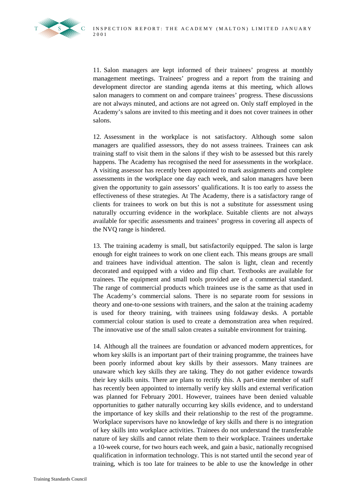

11. Salon managers are kept informed of their trainees' progress at monthly management meetings. Trainees' progress and a report from the training and development director are standing agenda items at this meeting, which allows salon managers to comment on and compare trainees' progress. These discussions are not always minuted, and actions are not agreed on. Only staff employed in the Academy's salons are invited to this meeting and it does not cover trainees in other salons.

12. Assessment in the workplace is not satisfactory. Although some salon managers are qualified assessors, they do not assess trainees. Trainees can ask training staff to visit them in the salons if they wish to be assessed but this rarely happens. The Academy has recognised the need for assessments in the workplace. A visiting assessor has recently been appointed to mark assignments and complete assessments in the workplace one day each week, and salon managers have been given the opportunity to gain assessors' qualifications. It is too early to assess the effectiveness of these strategies. At The Academy, there is a satisfactory range of clients for trainees to work on but this is not a substitute for assessment using naturally occurring evidence in the workplace. Suitable clients are not always available for specific assessments and trainees' progress in covering all aspects of the NVQ range is hindered.

13. The training academy is small, but satisfactorily equipped. The salon is large enough for eight trainees to work on one client each. This means groups are small and trainees have individual attention. The salon is light, clean and recently decorated and equipped with a video and flip chart. Textbooks are available for trainees. The equipment and small tools provided are of a commercial standard. The range of commercial products which trainees use is the same as that used in The Academy's commercial salons. There is no separate room for sessions in theory and one-to-one sessions with trainers, and the salon at the training academy is used for theory training, with trainees using foldaway desks. A portable commercial colour station is used to create a demonstration area when required. The innovative use of the small salon creates a suitable environment for training.

14. Although all the trainees are foundation or advanced modern apprentices, for whom key skills is an important part of their training programme, the trainees have been poorly informed about key skills by their assessors. Many trainees are unaware which key skills they are taking. They do not gather evidence towards their key skills units. There are plans to rectify this. A part-time member of staff has recently been appointed to internally verify key skills and external verification was planned for February 2001. However, trainees have been denied valuable opportunities to gather naturally occurring key skills evidence, and to understand the importance of key skills and their relationship to the rest of the programme. Workplace supervisors have no knowledge of key skills and there is no integration of key skills into workplace activities. Trainees do not understand the transferable nature of key skills and cannot relate them to their workplace. Trainees undertake a 10-week course, for two hours each week, and gain a basic, nationally recognised qualification in information technology. This is not started until the second year of training, which is too late for trainees to be able to use the knowledge in other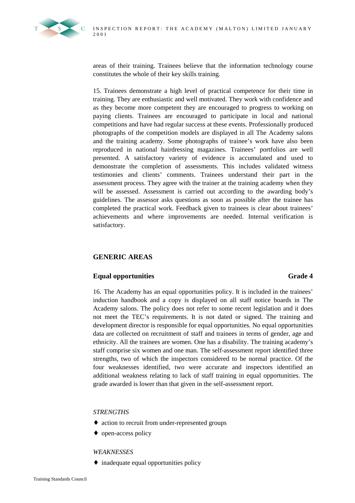

areas of their training. Trainees believe that the information technology course constitutes the whole of their key skills training.

15. Trainees demonstrate a high level of practical competence for their time in training. They are enthusiastic and well motivated. They work with confidence and as they become more competent they are encouraged to progress to working on paying clients. Trainees are encouraged to participate in local and national competitions and have had regular success at these events. Professionally produced photographs of the competition models are displayed in all The Academy salons and the training academy. Some photographs of trainee's work have also been reproduced in national hairdressing magazines. Trainees' portfolios are well presented. A satisfactory variety of evidence is accumulated and used to demonstrate the completion of assessments. This includes validated witness testimonies and clients' comments. Trainees understand their part in the assessment process. They agree with the trainer at the training academy when they will be assessed. Assessment is carried out according to the awarding body's guidelines. The assessor asks questions as soon as possible after the trainee has completed the practical work. Feedback given to trainees is clear about trainees' achievements and where improvements are needed. Internal verification is satisfactory.

# **GENERIC AREAS**

# **Equal opportunities Grade 4**

16. The Academy has an equal opportunities policy. It is included in the trainees' induction handbook and a copy is displayed on all staff notice boards in The Academy salons. The policy does not refer to some recent legislation and it does not meet the TEC's requirements. It is not dated or signed. The training and development director is responsible for equal opportunities. No equal opportunities data are collected on recruitment of staff and trainees in terms of gender, age and ethnicity. All the trainees are women. One has a disability. The training academy's staff comprise six women and one man. The self-assessment report identified three strengths, two of which the inspectors considered to be normal practice. Of the four weaknesses identified, two were accurate and inspectors identified an additional weakness relating to lack of staff training in equal opportunities. The grade awarded is lower than that given in the self-assessment report.

### *STRENGTHS*

- ♦ action to recruit from under-represented groups
- ♦ open-access policy

### *WEAKNESSES*

♦ inadequate equal opportunities policy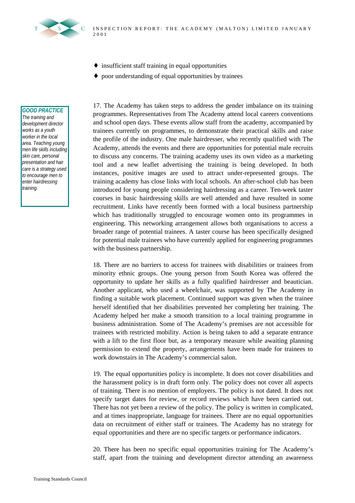

- ♦ insufficient staff training in equal opportunities
- ♦ poor understanding of equal opportunities by trainees

#### *GOOD PRACTICE*

*The training and development director works as a youth worker in the local area. Teaching young men life skills including skin care, personal presentation and hair care is a strategy used to encourage men to enter hairdressing training.*

17. The Academy has taken steps to address the gender imbalance on its training programmes. Representatives from The Academy attend local careers conventions and school open days. These events allow staff from the academy, accompanied by trainees currently on programmes, to demonstrate their practical skills and raise the profile of the industry. One male hairdresser, who recently qualified with The Academy, attends the events and there are opportunities for potential male recruits to discuss any concerns. The training academy uses its own video as a marketing tool and a new leaflet advertising the training is being developed. In both instances, positive images are used to attract under-represented groups. The training academy has close links with local schools. An after-school club has been introduced for young people considering hairdressing as a career. Ten-week taster courses in basic hairdressing skills are well attended and have resulted in some recruitment. Links have recently been formed with a local business partnership which has traditionally struggled to encourage women onto its programmes in engineering. This networking arrangement allows both organisations to access a broader range of potential trainees. A taster course has been specifically designed for potential male trainees who have currently applied for engineering programmes with the business partnership.

18. There are no barriers to access for trainees with disabilities or trainees from minority ethnic groups. One young person from South Korea was offered the opportunity to update her skills as a fully qualified hairdresser and beautician. Another applicant, who used a wheelchair, was supported by The Academy in finding a suitable work placement. Continued support was given when the trainee herself identified that her disabilities prevented her completing her training. The Academy helped her make a smooth transition to a local training programme in business administration. Some of The Academy's premises are not accessible for trainees with restricted mobility. Action is being taken to add a separate entrance with a lift to the first floor but, as a temporary measure while awaiting planning permission to extend the property, arrangements have been made for trainees to work downstairs in The Academy's commercial salon.

19. The equal opportunities policy is incomplete. It does not cover disabilities and the harassment policy is in draft form only. The policy does not cover all aspects of training. There is no mention of employers. The policy is not dated. It does not specify target dates for review, or record reviews which have been carried out. There has not yet been a review of the policy. The policy is written in complicated, and at times inappropriate, language for trainees. There are no equal opportunities data on recruitment of either staff or trainees. The Academy has no strategy for equal opportunities and there are no specific targets or performance indicators.

20. There has been no specific equal opportunities training for The Academy's staff, apart from the training and development director attending an awareness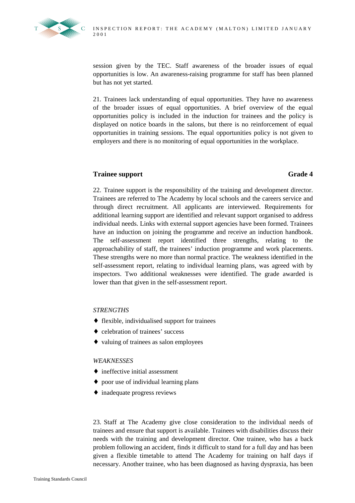

session given by the TEC. Staff awareness of the broader issues of equal opportunities is low. An awareness-raising programme for staff has been planned but has not yet started.

21. Trainees lack understanding of equal opportunities. They have no awareness of the broader issues of equal opportunities. A brief overview of the equal opportunities policy is included in the induction for trainees and the policy is displayed on notice boards in the salons, but there is no reinforcement of equal opportunities in training sessions. The equal opportunities policy is not given to employers and there is no monitoring of equal opportunities in the workplace.

# **Trainee support** Grade 4

22. Trainee support is the responsibility of the training and development director. Trainees are referred to The Academy by local schools and the careers service and through direct recruitment. All applicants are interviewed. Requirements for additional learning support are identified and relevant support organised to address individual needs. Links with external support agencies have been formed. Trainees have an induction on joining the programme and receive an induction handbook. The self-assessment report identified three strengths, relating to the approachability of staff, the trainees' induction programme and work placements. These strengths were no more than normal practice. The weakness identified in the self-assessment report, relating to individual learning plans, was agreed with by inspectors. Two additional weaknesses were identified. The grade awarded is lower than that given in the self-assessment report.

### *STRENGTHS*

- ♦ flexible, individualised support for trainees
- ♦ celebration of trainees' success
- ♦ valuing of trainees as salon employees

### *WEAKNESSES*

- $\rightarrow$  ineffective initial assessment
- ♦ poor use of individual learning plans
- ♦ inadequate progress reviews

23. Staff at The Academy give close consideration to the individual needs of trainees and ensure that support is available. Trainees with disabilities discuss their needs with the training and development director. One trainee, who has a back problem following an accident, finds it difficult to stand for a full day and has been given a flexible timetable to attend The Academy for training on half days if necessary. Another trainee, who has been diagnosed as having dyspraxia, has been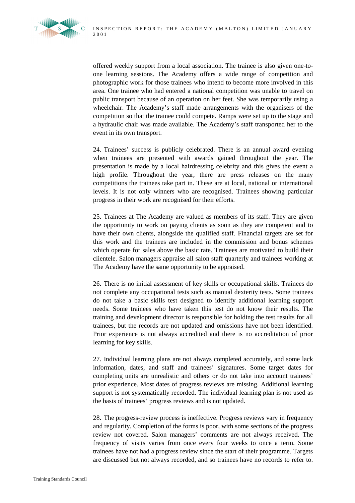

offered weekly support from a local association. The trainee is also given one-toone learning sessions. The Academy offers a wide range of competition and photographic work for those trainees who intend to become more involved in this area. One trainee who had entered a national competition was unable to travel on public transport because of an operation on her feet. She was temporarily using a wheelchair. The Academy's staff made arrangements with the organisers of the competition so that the trainee could compete. Ramps were set up to the stage and a hydraulic chair was made available. The Academy's staff transported her to the event in its own transport.

24. Trainees' success is publicly celebrated. There is an annual award evening when trainees are presented with awards gained throughout the year. The presentation is made by a local hairdressing celebrity and this gives the event a high profile. Throughout the year, there are press releases on the many competitions the trainees take part in. These are at local, national or international levels. It is not only winners who are recognised. Trainees showing particular progress in their work are recognised for their efforts.

25. Trainees at The Academy are valued as members of its staff. They are given the opportunity to work on paying clients as soon as they are competent and to have their own clients, alongside the qualified staff. Financial targets are set for this work and the trainees are included in the commission and bonus schemes which operate for sales above the basic rate. Trainees are motivated to build their clientele. Salon managers appraise all salon staff quarterly and trainees working at The Academy have the same opportunity to be appraised.

26. There is no initial assessment of key skills or occupational skills. Trainees do not complete any occupational tests such as manual dexterity tests. Some trainees do not take a basic skills test designed to identify additional learning support needs. Some trainees who have taken this test do not know their results. The training and development director is responsible for holding the test results for all trainees, but the records are not updated and omissions have not been identified. Prior experience is not always accredited and there is no accreditation of prior learning for key skills.

27. Individual learning plans are not always completed accurately, and some lack information, dates, and staff and trainees' signatures. Some target dates for completing units are unrealistic and others or do not take into account trainees' prior experience. Most dates of progress reviews are missing. Additional learning support is not systematically recorded. The individual learning plan is not used as the basis of trainees' progress reviews and is not updated.

28. The progress-review process is ineffective. Progress reviews vary in frequency and regularity. Completion of the forms is poor, with some sections of the progress review not covered. Salon managers' comments are not always received. The frequency of visits varies from once every four weeks to once a term. Some trainees have not had a progress review since the start of their programme. Targets are discussed but not always recorded, and so trainees have no records to refer to.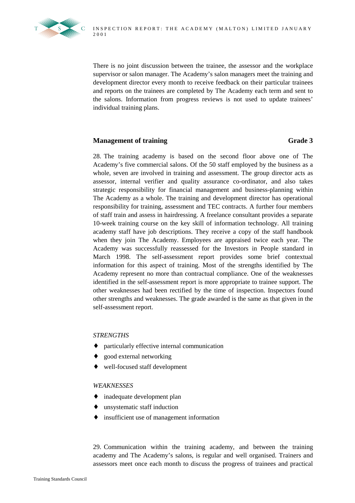

There is no joint discussion between the trainee, the assessor and the workplace supervisor or salon manager. The Academy's salon managers meet the training and development director every month to receive feedback on their particular trainees and reports on the trainees are completed by The Academy each term and sent to the salons. Information from progress reviews is not used to update trainees' individual training plans.

### **Management of training Grade 3**

28. The training academy is based on the second floor above one of The Academy's five commercial salons. Of the 50 staff employed by the business as a whole, seven are involved in training and assessment. The group director acts as assessor, internal verifier and quality assurance co-ordinator, and also takes strategic responsibility for financial management and business-planning within The Academy as a whole. The training and development director has operational responsibility for training, assessment and TEC contracts. A further four members of staff train and assess in hairdressing. A freelance consultant provides a separate 10-week training course on the key skill of information technology. All training academy staff have job descriptions. They receive a copy of the staff handbook when they join The Academy. Employees are appraised twice each year. The Academy was successfully reassessed for the Investors in People standard in March 1998. The self-assessment report provides some brief contextual information for this aspect of training. Most of the strengths identified by The Academy represent no more than contractual compliance. One of the weaknesses identified in the self-assessment report is more appropriate to trainee support. The other weaknesses had been rectified by the time of inspection. Inspectors found other strengths and weaknesses. The grade awarded is the same as that given in the self-assessment report.

### *STRENGTHS*

- ♦ particularly effective internal communication
- good external networking
- well-focused staff development

### *WEAKNESSES*

- ♦ inadequate development plan
- ♦ unsystematic staff induction
- ♦ insufficient use of management information

29. Communication within the training academy, and between the training academy and The Academy's salons, is regular and well organised. Trainers and assessors meet once each month to discuss the progress of trainees and practical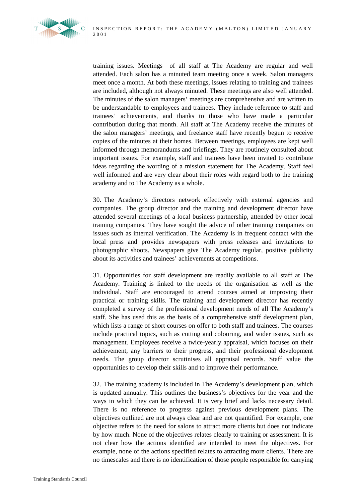

training issues. Meetings of all staff at The Academy are regular and well attended. Each salon has a minuted team meeting once a week. Salon managers meet once a month. At both these meetings, issues relating to training and trainees are included, although not always minuted. These meetings are also well attended. The minutes of the salon managers' meetings are comprehensive and are written to be understandable to employees and trainees. They include reference to staff and trainees' achievements, and thanks to those who have made a particular contribution during that month. All staff at The Academy receive the minutes of the salon managers' meetings, and freelance staff have recently begun to receive copies of the minutes at their homes. Between meetings, employees are kept well informed through memorandums and briefings. They are routinely consulted about important issues. For example, staff and trainees have been invited to contribute ideas regarding the wording of a mission statement for The Academy. Staff feel well informed and are very clear about their roles with regard both to the training academy and to The Academy as a whole.

30. The Academy's directors network effectively with external agencies and companies. The group director and the training and development director have attended several meetings of a local business partnership, attended by other local training companies. They have sought the advice of other training companies on issues such as internal verification. The Academy is in frequent contact with the local press and provides newspapers with press releases and invitations to photographic shoots. Newspapers give The Academy regular, positive publicity about its activities and trainees' achievements at competitions.

31. Opportunities for staff development are readily available to all staff at The Academy. Training is linked to the needs of the organisation as well as the individual. Staff are encouraged to attend courses aimed at improving their practical or training skills. The training and development director has recently completed a survey of the professional development needs of all The Academy's staff. She has used this as the basis of a comprehensive staff development plan, which lists a range of short courses on offer to both staff and trainees. The courses include practical topics, such as cutting and colouring, and wider issues, such as management. Employees receive a twice-yearly appraisal, which focuses on their achievement, any barriers to their progress, and their professional development needs. The group director scrutinises all appraisal records. Staff value the opportunities to develop their skills and to improve their performance.

32. The training academy is included in The Academy's development plan, which is updated annually. This outlines the business's objectives for the year and the ways in which they can be achieved. It is very brief and lacks necessary detail. There is no reference to progress against previous development plans. The objectives outlined are not always clear and are not quantified. For example, one objective refers to the need for salons to attract more clients but does not indicate by how much. None of the objectives relates clearly to training or assessment. It is not clear how the actions identified are intended to meet the objectives. For example, none of the actions specified relates to attracting more clients. There are no timescales and there is no identification of those people responsible for carrying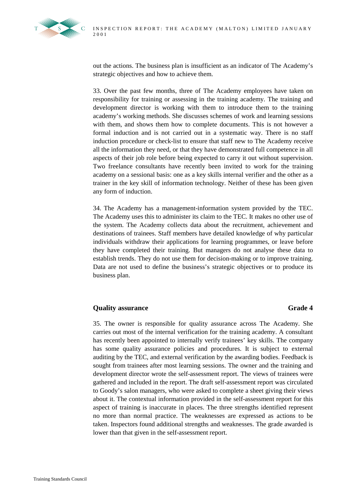

out the actions. The business plan is insufficient as an indicator of The Academy's strategic objectives and how to achieve them.

33. Over the past few months, three of The Academy employees have taken on responsibility for training or assessing in the training academy. The training and development director is working with them to introduce them to the training academy's working methods. She discusses schemes of work and learning sessions with them, and shows them how to complete documents. This is not however a formal induction and is not carried out in a systematic way. There is no staff induction procedure or check-list to ensure that staff new to The Academy receive all the information they need, or that they have demonstrated full competence in all aspects of their job role before being expected to carry it out without supervision. Two freelance consultants have recently been invited to work for the training academy on a sessional basis: one as a key skills internal verifier and the other as a trainer in the key skill of information technology. Neither of these has been given any form of induction.

34. The Academy has a management-information system provided by the TEC. The Academy uses this to administer its claim to the TEC. It makes no other use of the system. The Academy collects data about the recruitment, achievement and destinations of trainees. Staff members have detailed knowledge of why particular individuals withdraw their applications for learning programmes, or leave before they have completed their training. But managers do not analyse these data to establish trends. They do not use them for decision-making or to improve training. Data are not used to define the business's strategic objectives or to produce its business plan.

# **Quality assurance** Grade 4

35. The owner is responsible for quality assurance across The Academy. She carries out most of the internal verification for the training academy. A consultant has recently been appointed to internally verify trainees' key skills. The company has some quality assurance policies and procedures. It is subject to external auditing by the TEC, and external verification by the awarding bodies. Feedback is sought from trainees after most learning sessions. The owner and the training and development director wrote the self-assessment report. The views of trainees were gathered and included in the report. The draft self-assessment report was circulated to Goody's salon managers, who were asked to complete a sheet giving their views about it. The contextual information provided in the self-assessment report for this aspect of training is inaccurate in places. The three strengths identified represent no more than normal practice. The weaknesses are expressed as actions to be taken. Inspectors found additional strengths and weaknesses. The grade awarded is lower than that given in the self-assessment report.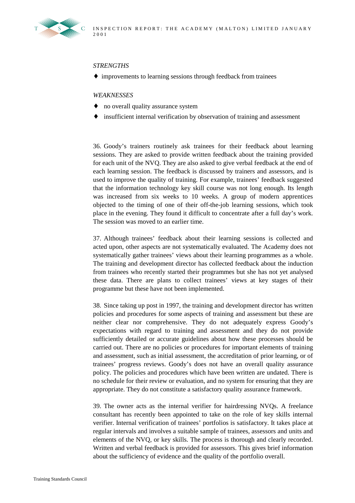

### *STRENGTHS*

♦ improvements to learning sessions through feedback from trainees

### *WEAKNESSES*

- ♦ no overall quality assurance system
- ♦ insufficient internal verification by observation of training and assessment

36. Goody's trainers routinely ask trainees for their feedback about learning sessions. They are asked to provide written feedback about the training provided for each unit of the NVQ. They are also asked to give verbal feedback at the end of each learning session. The feedback is discussed by trainers and assessors, and is used to improve the quality of training. For example, trainees' feedback suggested that the information technology key skill course was not long enough. Its length was increased from six weeks to 10 weeks. A group of modern apprentices objected to the timing of one of their off-the-job learning sessions, which took place in the evening. They found it difficult to concentrate after a full day's work. The session was moved to an earlier time.

37. Although trainees' feedback about their learning sessions is collected and acted upon, other aspects are not systematically evaluated. The Academy does not systematically gather trainees' views about their learning programmes as a whole. The training and development director has collected feedback about the induction from trainees who recently started their programmes but she has not yet analysed these data. There are plans to collect trainees' views at key stages of their programme but these have not been implemented.

38. Since taking up post in 1997, the training and development director has written policies and procedures for some aspects of training and assessment but these are neither clear nor comprehensive. They do not adequately express Goody's expectations with regard to training and assessment and they do not provide sufficiently detailed or accurate guidelines about how these processes should be carried out. There are no policies or procedures for important elements of training and assessment, such as initial assessment, the accreditation of prior learning, or of trainees' progress reviews. Goody's does not have an overall quality assurance policy. The policies and procedures which have been written are undated. There is no schedule for their review or evaluation, and no system for ensuring that they are appropriate. They do not constitute a satisfactory quality assurance framework.

39. The owner acts as the internal verifier for hairdressing NVQs. A freelance consultant has recently been appointed to take on the role of key skills internal verifier. Internal verification of trainees' portfolios is satisfactory. It takes place at regular intervals and involves a suitable sample of trainees, assessors and units and elements of the NVQ, or key skills. The process is thorough and clearly recorded. Written and verbal feedback is provided for assessors. This gives brief information about the sufficiency of evidence and the quality of the portfolio overall.